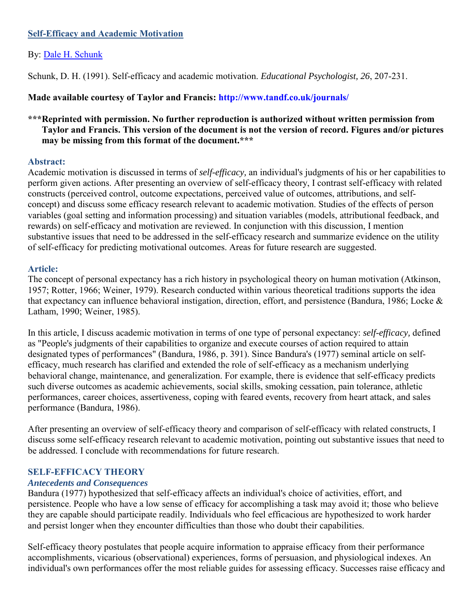# **Self-Efficacy and Academic Motivation**

# By: [Dale H. Schunk](http://libres.uncg.edu/ir/uncg/clist.aspx?id=1024)

Schunk, D. H. (1991). Self-efficacy and academic motivation. *Educational Psychologist, 26*, 207-231.

# **Made available courtesy of Taylor and Francis: <http://www.tandf.co.uk/journals/>**

# **\*\*\*Reprinted with permission. No further reproduction is authorized without written permission from Taylor and Francis. This version of the document is not the version of record. Figures and/or pictures may be missing from this format of the document.\*\*\***

### **Abstract:**

Academic motivation is discussed in terms of *self-efficacy,* an individual's judgments of his or her capabilities to perform given actions. After presenting an overview of self-efficacy theory, I contrast self-efficacy with related constructs (perceived control, outcome expectations, perceived value of outcomes, attributions, and selfconcept) and discuss some efficacy research relevant to academic motivation. Studies of the effects of person variables (goal setting and information processing) and situation variables (models, attributional feedback, and rewards) on self-efficacy and motivation are reviewed. In conjunction with this discussion, I mention substantive issues that need to be addressed in the self-efficacy research and summarize evidence on the utility of self-efficacy for predicting motivational outcomes. Areas for future research are suggested.

### **Article:**

The concept of personal expectancy has a rich history in psychological theory on human motivation (Atkinson, 1957; Rotter, 1966; Weiner, 1979). Research conducted within various theoretical traditions supports the idea that expectancy can influence behavioral instigation, direction, effort, and persistence (Bandura, 1986; Locke & Latham, 1990; Weiner, 1985).

In this article, I discuss academic motivation in terms of one type of personal expectancy: *self-efficacy,* defined as "People's judgments of their capabilities to organize and execute courses of action required to attain designated types of performances" (Bandura, 1986, p. 391). Since Bandura's (1977) seminal article on selfefficacy, much research has clarified and extended the role of self-efficacy as a mechanism underlying behavioral change, maintenance, and generalization. For example, there is evidence that self-efficacy predicts such diverse outcomes as academic achievements, social skills, smoking cessation, pain tolerance, athletic performances, career choices, assertiveness, coping with feared events, recovery from heart attack, and sales performance (Bandura, 1986).

After presenting an overview of self-efficacy theory and comparison of self-efficacy with related constructs, I discuss some self-efficacy research relevant to academic motivation, pointing out substantive issues that need to be addressed. I conclude with recommendations for future research.

# **SELF-EFFICACY THEORY**

# *Antecedents and Consequences*

Bandura (1977) hypothesized that self-efficacy affects an individual's choice of activities, effort, and persistence. People who have a low sense of efficacy for accomplishing a task may avoid it; those who believe they are capable should participate readily. Individuals who feel efficacious are hypothesized to work harder and persist longer when they encounter difficulties than those who doubt their capabilities.

Self-efficacy theory postulates that people acquire information to appraise efficacy from their performance accomplishments, vicarious (observational) experiences, forms of persuasion, and physiological indexes. An individual's own performances offer the most reliable guides for assessing efficacy. Successes raise efficacy and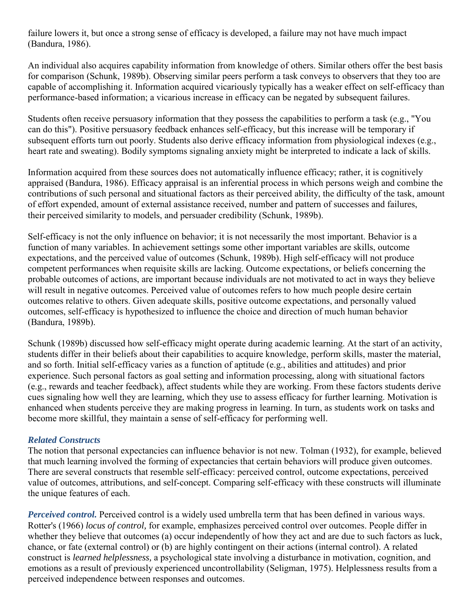failure lowers it, but once a strong sense of efficacy is developed, a failure may not have much impact (Bandura, 1986).

An individual also acquires capability information from knowledge of others. Similar others offer the best basis for comparison (Schunk, 1989b). Observing similar peers perform a task conveys to observers that they too are capable of accomplishing it. Information acquired vicariously typically has a weaker effect on self-efficacy than performance-based information; a vicarious increase in efficacy can be negated by subsequent failures.

Students often receive persuasory information that they possess the capabilities to perform a task (e.g., "You can do this"). Positive persuasory feedback enhances self-efficacy, but this increase will be temporary if subsequent efforts turn out poorly. Students also derive efficacy information from physiological indexes (e.g., heart rate and sweating). Bodily symptoms signaling anxiety might be interpreted to indicate a lack of skills.

Information acquired from these sources does not automatically influence efficacy; rather, it is cognitively appraised (Bandura, 1986). Efficacy appraisal is an inferential process in which persons weigh and combine the contributions of such personal and situational factors as their perceived ability, the difficulty of the task, amount of effort expended, amount of external assistance received, number and pattern of successes and failures, their perceived similarity to models, and persuader credibility (Schunk, 1989b).

Self-efficacy is not the only influence on behavior; it is not necessarily the most important. Behavior is a function of many variables. In achievement settings some other important variables are skills, outcome expectations, and the perceived value of outcomes (Schunk, 1989b). High self-efficacy will not produce competent performances when requisite skills are lacking. Outcome expectations, or beliefs concerning the probable outcomes of actions, are important because individuals are not motivated to act in ways they believe will result in negative outcomes. Perceived value of outcomes refers to how much people desire certain outcomes relative to others. Given adequate skills, positive outcome expectations, and personally valued outcomes, self-efficacy is hypothesized to influence the choice and direction of much human behavior (Bandura, 1989b).

Schunk (1989b) discussed how self-efficacy might operate during academic learning. At the start of an activity, students differ in their beliefs about their capabilities to acquire knowledge, perform skills, master the material, and so forth. Initial self-efficacy varies as a function of aptitude (e.g., abilities and attitudes) and prior experience. Such personal factors as goal setting and information processing, along with situational factors (e.g., rewards and teacher feedback), affect students while they are working. From these factors students derive cues signaling how well they are learning, which they use to assess efficacy for further learning. Motivation is enhanced when students perceive they are making progress in learning. In turn, as students work on tasks and become more skillful, they maintain a sense of self-efficacy for performing well.

# *Related Constructs*

The notion that personal expectancies can influence behavior is not new. Tolman (1932), for example, believed that much learning involved the forming of expectancies that certain behaviors will produce given outcomes. There are several constructs that resemble self-efficacy: perceived control, outcome expectations, perceived value of outcomes, attributions, and self-concept. Comparing self-efficacy with these constructs will illuminate the unique features of each.

*Perceived control.* Perceived control is a widely used umbrella term that has been defined in various ways. Rotter's (1966) *locus of control,* for example, emphasizes perceived control over outcomes. People differ in whether they believe that outcomes (a) occur independently of how they act and are due to such factors as luck, chance, or fate (external control) or (b) are highly contingent on their actions (internal control). A related construct is *learned helplessness,* a psychological state involving a disturbance in motivation, cognition, and emotions as a result of previously experienced uncontrollability (Seligman, 1975). Helplessness results from a perceived independence between responses and outcomes.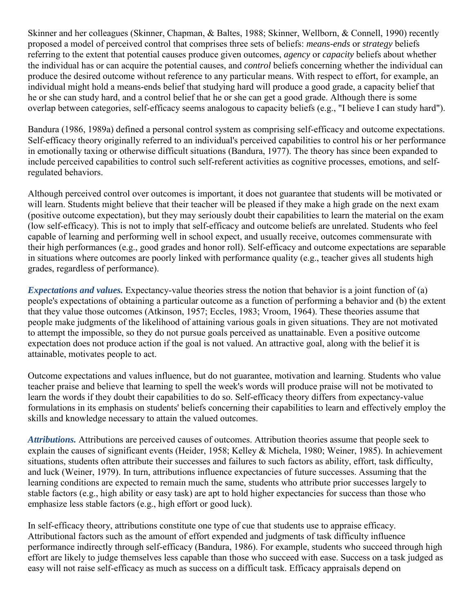Skinner and her colleagues (Skinner, Chapman, & Baltes, 1988; Skinner, Wellborn, & Connell, 1990) recently proposed a model of perceived control that comprises three sets of beliefs: *means-ends* or *strategy* beliefs referring to the extent that potential causes produce given outcomes, *agency* or *capacity* beliefs about whether the individual has or can acquire the potential causes, and *control* beliefs concerning whether the individual can produce the desired outcome without reference to any particular means. With respect to effort, for example, an individual might hold a means-ends belief that studying hard will produce a good grade, a capacity belief that he or she can study hard, and a control belief that he or she can get a good grade. Although there is some overlap between categories, self-efficacy seems analogous to capacity beliefs (e.g., "I believe I can study hard").

Bandura (1986, 1989a) defined a personal control system as comprising self-efficacy and outcome expectations. Self-efficacy theory originally referred to an individual's perceived capabilities to control his or her performance in emotionally taxing or otherwise difficult situations (Bandura, 1977). The theory has since been expanded to include perceived capabilities to control such self-referent activities as cognitive processes, emotions, and selfregulated behaviors.

Although perceived control over outcomes is important, it does not guarantee that students will be motivated or will learn. Students might believe that their teacher will be pleased if they make a high grade on the next exam (positive outcome expectation), but they may seriously doubt their capabilities to learn the material on the exam (low self-efficacy). This is not to imply that self-efficacy and outcome beliefs are unrelated. Students who feel capable of learning and performing well in school expect, and usually receive, outcomes commensurate with their high performances (e.g., good grades and honor roll). Self-efficacy and outcome expectations are separable in situations where outcomes are poorly linked with performance quality (e.g., teacher gives all students high grades, regardless of performance).

*Expectations and values.* Expectancy-value theories stress the notion that behavior is a joint function of (a) people's expectations of obtaining a particular outcome as a function of performing a behavior and (b) the extent that they value those outcomes (Atkinson, 1957; Eccles, 1983; Vroom, 1964). These theories assume that people make judgments of the likelihood of attaining various goals in given situations. They are not motivated to attempt the impossible, so they do not pursue goals perceived as unattainable. Even a positive outcome expectation does not produce action if the goal is not valued. An attractive goal, along with the belief it is attainable, motivates people to act.

Outcome expectations and values influence, but do not guarantee, motivation and learning. Students who value teacher praise and believe that learning to spell the week's words will produce praise will not be motivated to learn the words if they doubt their capabilities to do so. Self-efficacy theory differs from expectancy-value formulations in its emphasis on students' beliefs concerning their capabilities to learn and effectively employ the skills and knowledge necessary to attain the valued outcomes.

*Attributions.* Attributions are perceived causes of outcomes. Attribution theories assume that people seek to explain the causes of significant events (Heider, 1958; Kelley & Michela, 1980; Weiner, 1985). In achievement situations, students often attribute their successes and failures to such factors as ability, effort, task difficulty, and luck (Weiner, 1979). In turn, attributions influence expectancies of future successes. Assuming that the learning conditions are expected to remain much the same, students who attribute prior successes largely to stable factors (e.g., high ability or easy task) are apt to hold higher expectancies for success than those who emphasize less stable factors (e.g., high effort or good luck).

In self-efficacy theory, attributions constitute one type of cue that students use to appraise efficacy. Attributional factors such as the amount of effort expended and judgments of task difficulty influence performance indirectly through self-efficacy (Bandura, 1986). For example, students who succeed through high effort are likely to judge themselves less capable than those who succeed with ease. Success on a task judged as easy will not raise self-efficacy as much as success on a difficult task. Efficacy appraisals depend on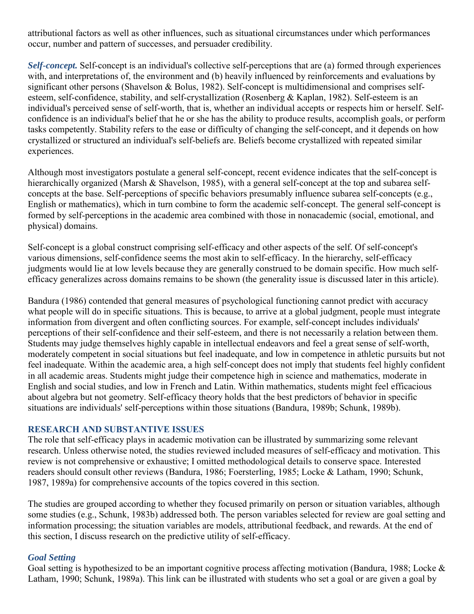attributional factors as well as other influences, such as situational circumstances under which performances occur, number and pattern of successes, and persuader credibility.

*Self-concept.* Self-concept is an individual's collective self-perceptions that are (a) formed through experiences with, and interpretations of, the environment and (b) heavily influenced by reinforcements and evaluations by significant other persons (Shavelson & Bolus, 1982). Self-concept is multidimensional and comprises selfesteem, self-confidence, stability, and self-crystallization (Rosenberg & Kaplan, 1982). Self-esteem is an individual's perceived sense of self-worth, that is, whether an individual accepts or respects him or herself. Selfconfidence is an individual's belief that he or she has the ability to produce results, accomplish goals, or perform tasks competently. Stability refers to the ease or difficulty of changing the self-concept, and it depends on how crystallized or structured an individual's self-beliefs are. Beliefs become crystallized with repeated similar experiences.

Although most investigators postulate a general self-concept, recent evidence indicates that the self-concept is hierarchically organized (Marsh & Shavelson, 1985), with a general self-concept at the top and subarea selfconcepts at the base. Self-perceptions of specific behaviors presumably influence subarea self-concepts (e.g., English or mathematics), which in turn combine to form the academic self-concept. The general self-concept is formed by self-perceptions in the academic area combined with those in nonacademic (social, emotional, and physical) domains.

Self-concept is a global construct comprising self-efficacy and other aspects of the self. Of self-concept's various dimensions, self-confidence seems the most akin to self-efficacy. In the hierarchy, self-efficacy judgments would lie at low levels because they are generally construed to be domain specific. How much selfefficacy generalizes across domains remains to be shown (the generality issue is discussed later in this article).

Bandura (1986) contended that general measures of psychological functioning cannot predict with accuracy what people will do in specific situations. This is because, to arrive at a global judgment, people must integrate information from divergent and often conflicting sources. For example, self-concept includes individuals' perceptions of their self-confidence and their self-esteem, and there is not necessarily a relation between them. Students may judge themselves highly capable in intellectual endeavors and feel a great sense of self-worth, moderately competent in social situations but feel inadequate, and low in competence in athletic pursuits but not feel inadequate. Within the academic area, a high self-concept does not imply that students feel highly confident in all academic areas. Students might judge their competence high in science and mathematics, moderate in English and social studies, and low in French and Latin. Within mathematics, students might feel efficacious about algebra but not geometry. Self-efficacy theory holds that the best predictors of behavior in specific situations are individuals' self-perceptions within those situations (Bandura, 1989b; Schunk, 1989b).

# **RESEARCH AND SUBSTANTIVE ISSUES**

The role that self-efficacy plays in academic motivation can be illustrated by summarizing some relevant research. Unless otherwise noted, the studies reviewed included measures of self-efficacy and motivation. This review is not comprehensive or exhaustive; I omitted methodological details to conserve space. Interested readers should consult other reviews (Bandura, 1986; Foersterling, 1985; Locke & Latham, 1990; Schunk, 1987, 1989a) for comprehensive accounts of the topics covered in this section.

The studies are grouped according to whether they focused primarily on person or situation variables, although some studies (e.g., Schunk, 1983b) addressed both. The person variables selected for review are goal setting and information processing; the situation variables are models, attributional feedback, and rewards. At the end of this section, I discuss research on the predictive utility of self-efficacy.

#### *Goal Setting*

Goal setting is hypothesized to be an important cognitive process affecting motivation (Bandura, 1988; Locke & Latham, 1990; Schunk, 1989a). This link can be illustrated with students who set a goal or are given a goal by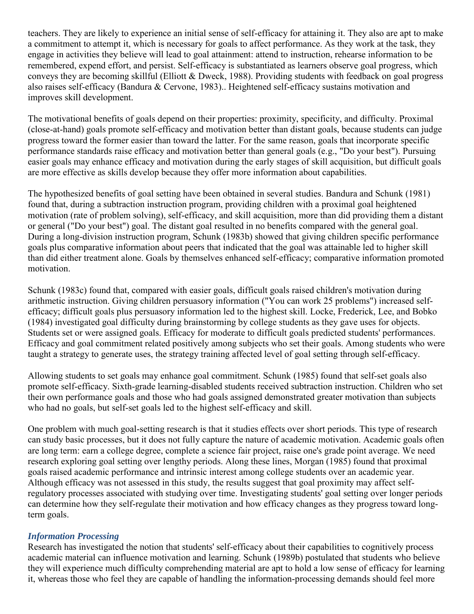teachers. They are likely to experience an initial sense of self-efficacy for attaining it. They also are apt to make a commitment to attempt it, which is necessary for goals to affect performance. As they work at the task, they engage in activities they believe will lead to goal attainment: attend to instruction, rehearse information to be remembered, expend effort, and persist. Self-efficacy is substantiated as learners observe goal progress, which conveys they are becoming skillful (Elliott & Dweck, 1988). Providing students with feedback on goal progress also raises self-efficacy (Bandura & Cervone, 1983).. Heightened self-efficacy sustains motivation and improves skill development.

The motivational benefits of goals depend on their properties: proximity, specificity, and difficulty. Proximal (close-at-hand) goals promote self-efficacy and motivation better than distant goals, because students can judge progress toward the former easier than toward the latter. For the same reason, goals that incorporate specific performance standards raise efficacy and motivation better than general goals (e.g., "Do your best"). Pursuing easier goals may enhance efficacy and motivation during the early stages of skill acquisition, but difficult goals are more effective as skills develop because they offer more information about capabilities.

The hypothesized benefits of goal setting have been obtained in several studies. Bandura and Schunk (1981) found that, during a subtraction instruction program, providing children with a proximal goal heightened motivation (rate of problem solving), self-efficacy, and skill acquisition, more than did providing them a distant or general ("Do your best") goal. The distant goal resulted in no benefits compared with the general goal. During a long-division instruction program, Schunk (1983b) showed that giving children specific performance goals plus comparative information about peers that indicated that the goal was attainable led to higher skill than did either treatment alone. Goals by themselves enhanced self-efficacy; comparative information promoted motivation.

Schunk (1983c) found that, compared with easier goals, difficult goals raised children's motivation during arithmetic instruction. Giving children persuasory information ("You can work 25 problems") increased selfefficacy; difficult goals plus persuasory information led to the highest skill. Locke, Frederick, Lee, and Bobko (1984) investigated goal difficulty during brainstorming by college students as they gave uses for objects. Students set or were assigned goals. Efficacy for moderate to difficult goals predicted students' performances. Efficacy and goal commitment related positively among subjects who set their goals. Among students who were taught a strategy to generate uses, the strategy training affected level of goal setting through self-efficacy.

Allowing students to set goals may enhance goal commitment. Schunk (1985) found that self-set goals also promote self-efficacy. Sixth-grade learning-disabled students received subtraction instruction. Children who set their own performance goals and those who had goals assigned demonstrated greater motivation than subjects who had no goals, but self-set goals led to the highest self-efficacy and skill.

One problem with much goal-setting research is that it studies effects over short periods. This type of research can study basic processes, but it does not fully capture the nature of academic motivation. Academic goals often are long term: earn a college degree, complete a science fair project, raise one's grade point average. We need research exploring goal setting over lengthy periods. Along these lines, Morgan (1985) found that proximal goals raised academic performance and intrinsic interest among college students over an academic year. Although efficacy was not assessed in this study, the results suggest that goal proximity may affect selfregulatory processes associated with studying over time. Investigating students' goal setting over longer periods can determine how they self-regulate their motivation and how efficacy changes as they progress toward longterm goals.

# *Information Processing*

Research has investigated the notion that students' self-efficacy about their capabilities to cognitively process academic material can influence motivation and learning. Schunk (1989b) postulated that students who believe they will experience much difficulty comprehending material are apt to hold a low sense of efficacy for learning it, whereas those who feel they are capable of handling the information-processing demands should feel more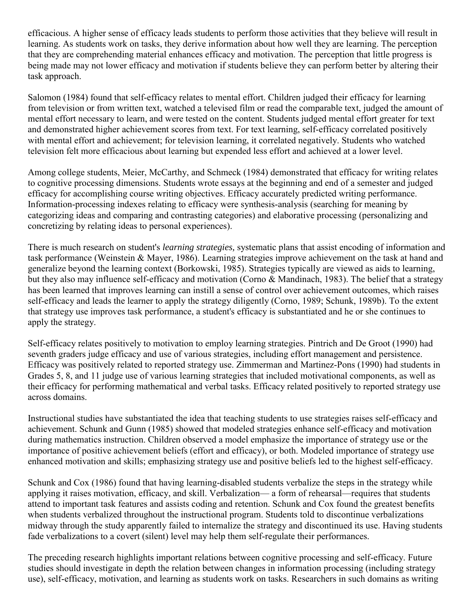efficacious. A higher sense of efficacy leads students to perform those activities that they believe will result in learning. As students work on tasks, they derive information about how well they are learning. The perception that they are comprehending material enhances efficacy and motivation. The perception that little progress is being made may not lower efficacy and motivation if students believe they can perform better by altering their task approach.

Salomon (1984) found that self-efficacy relates to mental effort. Children judged their efficacy for learning from television or from written text, watched a televised film or read the comparable text, judged the amount of mental effort necessary to learn, and were tested on the content. Students judged mental effort greater for text and demonstrated higher achievement scores from text. For text learning, self-efficacy correlated positively with mental effort and achievement; for television learning, it correlated negatively. Students who watched television felt more efficacious about learning but expended less effort and achieved at a lower level.

Among college students, Meier, McCarthy, and Schmeck (1984) demonstrated that efficacy for writing relates to cognitive processing dimensions. Students wrote essays at the beginning and end of a semester and judged efficacy for accomplishing course writing objectives. Efficacy accurately predicted writing performance. Information-processing indexes relating to efficacy were synthesis-analysis (searching for meaning by categorizing ideas and comparing and contrasting categories) and elaborative processing (personalizing and concretizing by relating ideas to personal experiences).

There is much research on student's *learning strategies,* systematic plans that assist encoding of information and task performance (Weinstein & Mayer, 1986). Learning strategies improve achievement on the task at hand and generalize beyond the learning context (Borkowski, 1985). Strategies typically are viewed as aids to learning, but they also may influence self-efficacy and motivation (Corno & Mandinach, 1983). The belief that a strategy has been learned that improves learning can instill a sense of control over achievement outcomes, which raises self-efficacy and leads the learner to apply the strategy diligently (Corno, 1989; Schunk, 1989b). To the extent that strategy use improves task performance, a student's efficacy is substantiated and he or she continues to apply the strategy.

Self-efficacy relates positively to motivation to employ learning strategies. Pintrich and De Groot (1990) had seventh graders judge efficacy and use of various strategies, including effort management and persistence. Efficacy was positively related to reported strategy use. Zimmerman and Martinez-Pons (1990) had students in Grades 5, 8, and 11 judge use of various learning strategies that included motivational components, as well as their efficacy for performing mathematical and verbal tasks. Efficacy related positively to reported strategy use across domains.

Instructional studies have substantiated the idea that teaching students to use strategies raises self-efficacy and achievement. Schunk and Gunn (1985) showed that modeled strategies enhance self-efficacy and motivation during mathematics instruction. Children observed a model emphasize the importance of strategy use or the importance of positive achievement beliefs (effort and efficacy), or both. Modeled importance of strategy use enhanced motivation and skills; emphasizing strategy use and positive beliefs led to the highest self-efficacy.

Schunk and Cox (1986) found that having learning-disabled students verbalize the steps in the strategy while applying it raises motivation, efficacy, and skill. Verbalization— a form of rehearsal—requires that students attend to important task features and assists coding and retention. Schunk and Cox found the greatest benefits when students verbalized throughout the instructional program. Students told to discontinue verbalizations midway through the study apparently failed to internalize the strategy and discontinued its use. Having students fade verbalizations to a covert (silent) level may help them self-regulate their performances.

The preceding research highlights important relations between cognitive processing and self-efficacy. Future studies should investigate in depth the relation between changes in information processing (including strategy use), self-efficacy, motivation, and learning as students work on tasks. Researchers in such domains as writing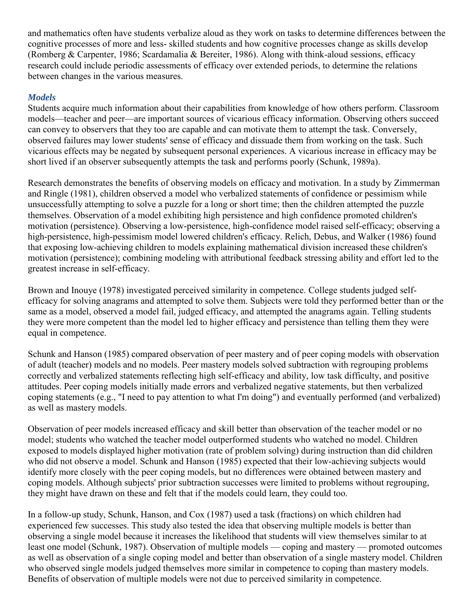and mathematics often have students verbalize aloud as they work on tasks to determine differences between the cognitive processes of more and less- skilled students and how cognitive processes change as skills develop (Romberg & Carpenter, 1986; Scardamalia & Bereiter, 1986). Along with think-aloud sessions, efficacy research could include periodic assessments of efficacy over extended periods, to determine the relations between changes in the various measures.

# *Models*

Students acquire much information about their capabilities from knowledge of how others perform. Classroom models—teacher and peer—are important sources of vicarious efficacy information. Observing others succeed can convey to observers that they too are capable and can motivate them to attempt the task. Conversely, observed failures may lower students' sense of efficacy and dissuade them from working on the task. Such vicarious effects may be negated by subsequent personal experiences. A vicarious increase in efficacy may be short lived if an observer subsequently attempts the task and performs poorly (Schunk, 1989a).

Research demonstrates the benefits of observing models on efficacy and motivation. In a study by Zimmerman and Ringle (1981), children observed a model who verbalized statements of confidence or pessimism while unsuccessfully attempting to solve a puzzle for a long or short time; then the children attempted the puzzle themselves. Observation of a model exhibiting high persistence and high confidence promoted children's motivation (persistence). Observing a low-persistence, high-confidence model raised self-efficacy; observing a high-persistence, high-pessimism model lowered children's efficacy. Relich, Debus, and Walker (1986) found that exposing low-achieving children to models explaining mathematical division increased these children's motivation (persistence); combining modeling with attributional feedback stressing ability and effort led to the greatest increase in self-efficacy.

Brown and Inouye (1978) investigated perceived similarity in competence. College students judged selfefficacy for solving anagrams and attempted to solve them. Subjects were told they performed better than or the same as a model, observed a model fail, judged efficacy, and attempted the anagrams again. Telling students they were more competent than the model led to higher efficacy and persistence than telling them they were equal in competence.

Schunk and Hanson (1985) compared observation of peer mastery and of peer coping models with observation of adult (teacher) models and no models. Peer mastery models solved subtraction with regrouping problems correctly and verbalized statements reflecting high self-efficacy and ability, low task difficulty, and positive attitudes. Peer coping models initially made errors and verbalized negative statements, but then verbalized coping statements (e.g., "I need to pay attention to what I'm doing") and eventually performed (and verbalized) as well as mastery models.

Observation of peer models increased efficacy and skill better than observation of the teacher model or no model; students who watched the teacher model outperformed students who watched no model. Children exposed to models displayed higher motivation (rate of problem solving) during instruction than did children who did not observe a model. Schunk and Hanson (1985) expected that their low-achieving subjects would identify more closely with the peer coping models, but no differences were obtained between mastery and coping models. Although subjects' prior subtraction successes were limited to problems without regrouping, they might have drawn on these and felt that if the models could learn, they could too.

In a follow-up study, Schunk, Hanson, and Cox (1987) used a task (fractions) on which children had experienced few successes. This study also tested the idea that observing multiple models is better than observing a single model because it increases the likelihood that students will view themselves similar to at least one model (Schunk, 1987). Observation of multiple models — coping and mastery — promoted outcomes as well as observation of a single coping model and better than observation of a single mastery model. Children who observed single models judged themselves more similar in competence to coping than mastery models. Benefits of observation of multiple models were not due to perceived similarity in competence.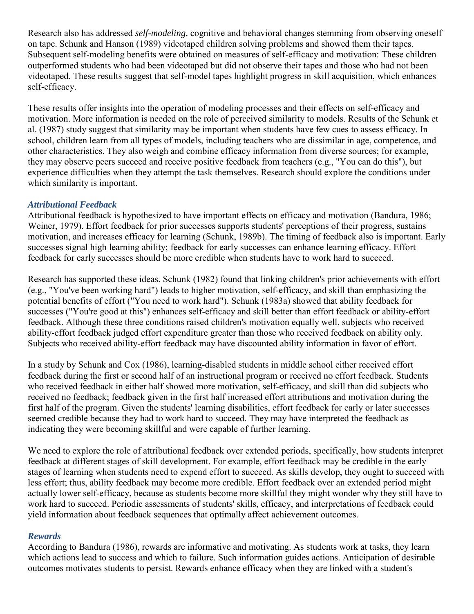Research also has addressed *self-modeling,* cognitive and behavioral changes stemming from observing oneself on tape. Schunk and Hanson (1989) videotaped children solving problems and showed them their tapes. Subsequent self-modeling benefits were obtained on measures of self-efficacy and motivation: These children outperformed students who had been videotaped but did not observe their tapes and those who had not been videotaped. These results suggest that self-model tapes highlight progress in skill acquisition, which enhances self-efficacy.

These results offer insights into the operation of modeling processes and their effects on self-efficacy and motivation. More information is needed on the role of perceived similarity to models. Results of the Schunk et al. (1987) study suggest that similarity may be important when students have few cues to assess efficacy. In school, children learn from all types of models, including teachers who are dissimilar in age, competence, and other characteristics. They also weigh and combine efficacy information from diverse sources; for example, they may observe peers succeed and receive positive feedback from teachers (e.g., "You can do this"), but experience difficulties when they attempt the task themselves. Research should explore the conditions under which similarity is important.

### *Attributional Feedback*

Attributional feedback is hypothesized to have important effects on efficacy and motivation (Bandura, 1986; Weiner, 1979). Effort feedback for prior successes supports students' perceptions of their progress, sustains motivation, and increases efficacy for learning (Schunk, 1989b). The timing of feedback also is important. Early successes signal high learning ability; feedback for early successes can enhance learning efficacy. Effort feedback for early successes should be more credible when students have to work hard to succeed.

Research has supported these ideas. Schunk (1982) found that linking children's prior achievements with effort (e.g., "You've been working hard") leads to higher motivation, self-efficacy, and skill than emphasizing the potential benefits of effort ("You need to work hard"). Schunk (1983a) showed that ability feedback for successes ("You're good at this") enhances self-efficacy and skill better than effort feedback or ability-effort feedback. Although these three conditions raised children's motivation equally well, subjects who received ability-effort feedback judged effort expenditure greater than those who received feedback on ability only. Subjects who received ability-effort feedback may have discounted ability information in favor of effort.

In a study by Schunk and Cox (1986), learning-disabled students in middle school either received effort feedback during the first or second half of an instructional program or received no effort feedback. Students who received feedback in either half showed more motivation, self-efficacy, and skill than did subjects who received no feedback; feedback given in the first half increased effort attributions and motivation during the first half of the program. Given the students' learning disabilities, effort feedback for early or later successes seemed credible because they had to work hard to succeed. They may have interpreted the feedback as indicating they were becoming skillful and were capable of further learning.

We need to explore the role of attributional feedback over extended periods, specifically, how students interpret feedback at different stages of skill development. For example, effort feedback may be credible in the early stages of learning when students need to expend effort to succeed. As skills develop, they ought to succeed with less effort; thus, ability feedback may become more credible. Effort feedback over an extended period might actually lower self-efficacy, because as students become more skillful they might wonder why they still have to work hard to succeed. Periodic assessments of students' skills, efficacy, and interpretations of feedback could yield information about feedback sequences that optimally affect achievement outcomes.

# *Rewards*

According to Bandura (1986), rewards are informative and motivating. As students work at tasks, they learn which actions lead to success and which to failure. Such information guides actions. Anticipation of desirable outcomes motivates students to persist. Rewards enhance efficacy when they are linked with a student's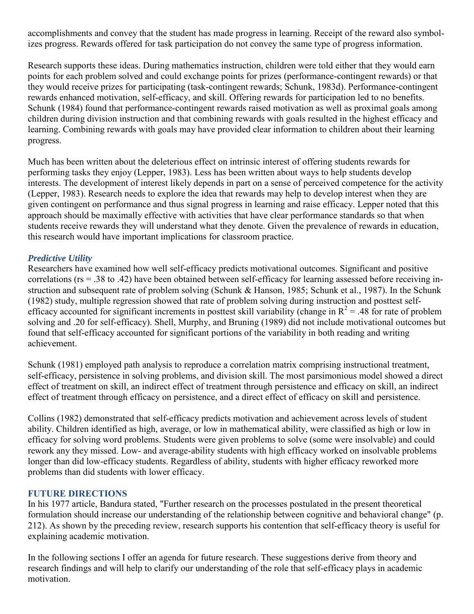accomplishments and convey that the student has made progress in learning. Receipt of the reward also symbolizes progress. Rewards offered for task participation do not convey the same type of progress information.

Research supports these ideas. During mathematics instruction, children were told either that they would earn points for each problem solved and could exchange points for prizes (performance-contingent rewards) or that they would receive prizes for participating (task-contingent rewards; Schunk, 1983d). Performance-contingent rewards enhanced motivation, self-efficacy, and skill. Offering rewards for participation led to no benefits. Schunk (1984) found that performance-contingent rewards raised motivation as well as proximal goals among children during division instruction and that combining rewards with goals resulted in the highest efficacy and learning. Combining rewards with goals may have provided clear information to children about their learning progress.

Much has been written about the deleterious effect on intrinsic interest of offering students rewards for performing tasks they enjoy (Lepper, 1983). Less has been written about ways to help students develop interests. The development of interest likely depends in part on a sense of perceived competence for the activity (Lepper, 1983). Research needs to explore the idea that rewards may help to develop interest when they are given contingent on performance and thus signal progress in learning and raise efficacy. Lepper noted that this approach should be maximally effective with activities that have clear performance standards so that when students receive rewards they will understand what they denote. Given the prevalence of rewards in education, this research would have important implications for classroom practice.

# *Predictive Utility*

Researchers have examined how well self-efficacy predicts motivational outcomes. Significant and positive correlations (rs = .38 to .42) have been obtained between self-efficacy for learning assessed before receiving instruction and subsequent rate of problem solving (Schunk & Hanson, 1985; Schunk et al., 1987). In the Schunk (1982) study, multiple regression showed that rate of problem solving during instruction and posttest selfefficacy accounted for significant increments in posttest skill variability (change in  $R^2$  = .48 for rate of problem solving and .20 for self-efficacy). Shell, Murphy, and Bruning (1989) did not include motivational outcomes but found that self-efficacy accounted for significant portions of the variability in both reading and writing achievement.

Schunk (1981) employed path analysis to reproduce a correlation matrix comprising instructional treatment, self-efficacy, persistence in solving problems, and division skill. The most parsimonious model showed a direct effect of treatment on skill, an indirect effect of treatment through persistence and efficacy on skill, an indirect effect of treatment through efficacy on persistence, and a direct effect of efficacy on skill and persistence.

Collins (1982) demonstrated that self-efficacy predicts motivation and achievement across levels of student ability. Children identified as high, average, or low in mathematical ability, were classified as high or low in efficacy for solving word problems. Students were given problems to solve (some were insolvable) and could rework any they missed. Low- and average-ability students with high efficacy worked on insolvable problems longer than did low-efficacy students. Regardless of ability, students with higher efficacy reworked more problems than did students with lower efficacy.

# **FUTURE DIRECTIONS**

In his 1977 article, Bandura stated, "Further research on the processes postulated in the present theoretical formulation should increase our understanding of the relationship between cognitive and behavioral change" (p. 212). As shown by the preceding review, research supports his contention that self-efficacy theory is useful for explaining academic motivation.

In the following sections I offer an agenda for future research. These suggestions derive from theory and research findings and will help to clarify our understanding of the role that self-efficacy plays in academic motivation.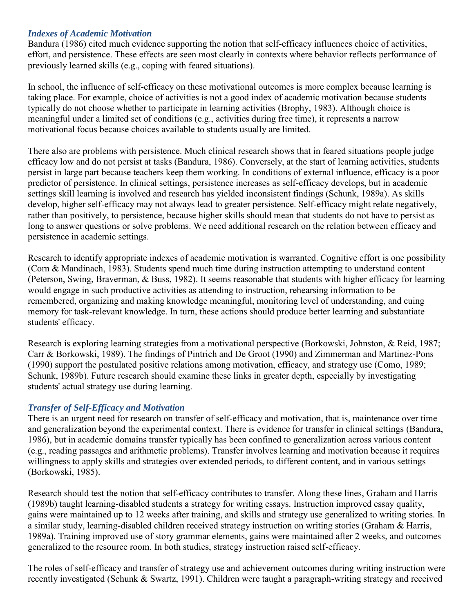### *Indexes of Academic Motivation*

Bandura (1986) cited much evidence supporting the notion that self-efficacy influences choice of activities, effort, and persistence. These effects are seen most clearly in contexts where behavior reflects performance of previously learned skills (e.g., coping with feared situations).

In school, the influence of self-efficacy on these motivational outcomes is more complex because learning is taking place. For example, choice of activities is not a good index of academic motivation because students typically do not choose whether to participate in learning activities (Brophy, 1983). Although choice is meaningful under a limited set of conditions (e.g., activities during free time), it represents a narrow motivational focus because choices available to students usually are limited.

There also are problems with persistence. Much clinical research shows that in feared situations people judge efficacy low and do not persist at tasks (Bandura, 1986). Conversely, at the start of learning activities, students persist in large part because teachers keep them working. In conditions of external influence, efficacy is a poor predictor of persistence. In clinical settings, persistence increases as self-efficacy develops, but in academic settings skill learning is involved and research has yielded inconsistent findings (Schunk, 1989a). As skills develop, higher self-efficacy may not always lead to greater persistence. Self-efficacy might relate negatively, rather than positively, to persistence, because higher skills should mean that students do not have to persist as long to answer questions or solve problems. We need additional research on the relation between efficacy and persistence in academic settings.

Research to identify appropriate indexes of academic motivation is warranted. Cognitive effort is one possibility (Corn & Mandinach, 1983). Students spend much time during instruction attempting to understand content (Peterson, Swing, Braverman, & Buss, 1982). It seems reasonable that students with higher efficacy for learning would engage in such productive activities as attending to instruction, rehearsing information to be remembered, organizing and making knowledge meaningful, monitoring level of understanding, and cuing memory for task-relevant knowledge. In turn, these actions should produce better learning and substantiate students' efficacy.

Research is exploring learning strategies from a motivational perspective (Borkowski, Johnston, & Reid, 1987; Carr & Borkowski, 1989). The findings of Pintrich and De Groot (1990) and Zimmerman and Martinez-Pons (1990) support the postulated positive relations among motivation, efficacy, and strategy use (Como, 1989; Schunk, 1989b). Future research should examine these links in greater depth, especially by investigating students' actual strategy use during learning.

#### *Transfer of Self-Efficacy and Motivation*

There is an urgent need for research on transfer of self-efficacy and motivation, that is, maintenance over time and generalization beyond the experimental context. There is evidence for transfer in clinical settings (Bandura, 1986), but in academic domains transfer typically has been confined to generalization across various content (e.g., reading passages and arithmetic problems). Transfer involves learning and motivation because it requires willingness to apply skills and strategies over extended periods, to different content, and in various settings (Borkowski, 1985).

Research should test the notion that self-efficacy contributes to transfer. Along these lines, Graham and Harris (1989b) taught learning-disabled students a strategy for writing essays. Instruction improved essay quality, gains were maintained up to 12 weeks after training, and skills and strategy use generalized to writing stories. In a similar study, learning-disabled children received strategy instruction on writing stories (Graham & Harris, 1989a). Training improved use of story grammar elements, gains were maintained after 2 weeks, and outcomes generalized to the resource room. In both studies, strategy instruction raised self-efficacy.

The roles of self-efficacy and transfer of strategy use and achievement outcomes during writing instruction were recently investigated (Schunk & Swartz, 1991). Children were taught a paragraph-writing strategy and received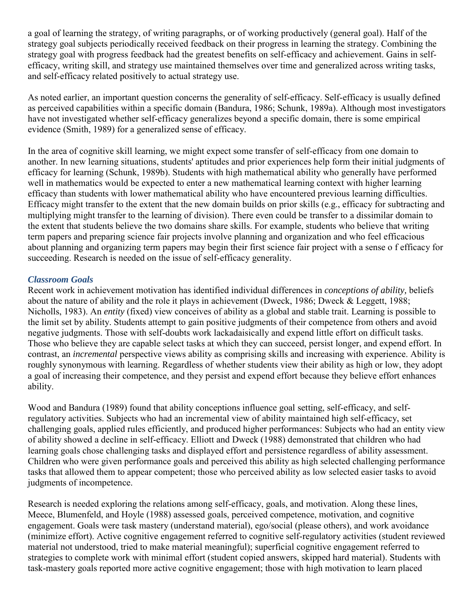a goal of learning the strategy, of writing paragraphs, or of working productively (general goal). Half of the strategy goal subjects periodically received feedback on their progress in learning the strategy. Combining the strategy goal with progress feedback had the greatest benefits on self-efficacy and achievement. Gains in selfefficacy, writing skill, and strategy use maintained themselves over time and generalized across writing tasks, and self-efficacy related positively to actual strategy use.

As noted earlier, an important question concerns the generality of self-efficacy. Self-efficacy is usually defined as perceived capabilities within a specific domain (Bandura, 1986; Schunk, 1989a). Although most investigators have not investigated whether self-efficacy generalizes beyond a specific domain, there is some empirical evidence (Smith, 1989) for a generalized sense of efficacy.

In the area of cognitive skill learning, we might expect some transfer of self-efficacy from one domain to another. In new learning situations, students' aptitudes and prior experiences help form their initial judgments of efficacy for learning (Schunk, 1989b). Students with high mathematical ability who generally have performed well in mathematics would be expected to enter a new mathematical learning context with higher learning efficacy than students with lower mathematical ability who have encountered previous learning difficulties. Efficacy might transfer to the extent that the new domain builds on prior skills (e.g., efficacy for subtracting and multiplying might transfer to the learning of division). There even could be transfer to a dissimilar domain to the extent that students believe the two domains share skills. For example, students who believe that writing term papers and preparing science fair projects involve planning and organization and who feel efficacious about planning and organizing term papers may begin their first science fair project with a sense o f efficacy for succeeding. Research is needed on the issue of self-efficacy generality.

### *Classroom Goals*

Recent work in achievement motivation has identified individual differences in *conceptions of ability,* beliefs about the nature of ability and the role it plays in achievement (Dweck, 1986; Dweck & Leggett, 1988; Nicholls, 1983). An *entity* (fixed) view conceives of ability as a global and stable trait. Learning is possible to the limit set by ability. Students attempt to gain positive judgments of their competence from others and avoid negative judgments. Those with self-doubts work lackadaisically and expend little effort on difficult tasks. Those who believe they are capable select tasks at which they can succeed, persist longer, and expend effort. In contrast, an *incremental* perspective views ability as comprising skills and increasing with experience. Ability is roughly synonymous with learning. Regardless of whether students view their ability as high or low, they adopt a goal of increasing their competence, and they persist and expend effort because they believe effort enhances ability.

Wood and Bandura (1989) found that ability conceptions influence goal setting, self-efficacy, and selfregulatory activities. Subjects who had an incremental view of ability maintained high self-efficacy, set challenging goals, applied rules efficiently, and produced higher performances: Subjects who had an entity view of ability showed a decline in self-efficacy. Elliott and Dweck (1988) demonstrated that children who had learning goals chose challenging tasks and displayed effort and persistence regardless of ability assessment. Children who were given performance goals and perceived this ability as high selected challenging performance tasks that allowed them to appear competent; those who perceived ability as low selected easier tasks to avoid judgments of incompetence.

Research is needed exploring the relations among self-efficacy, goals, and motivation. Along these lines, Meece, Blumenfeld, and Hoyle (1988) assessed goals, perceived competence, motivation, and cognitive engagement. Goals were task mastery (understand material), ego/social (please others), and work avoidance (minimize effort). Active cognitive engagement referred to cognitive self-regulatory activities (student reviewed material not understood, tried to make material meaningful); superficial cognitive engagement referred to strategies to complete work with minimal effort (student copied answers, skipped hard material). Students with task-mastery goals reported more active cognitive engagement; those with high motivation to learn placed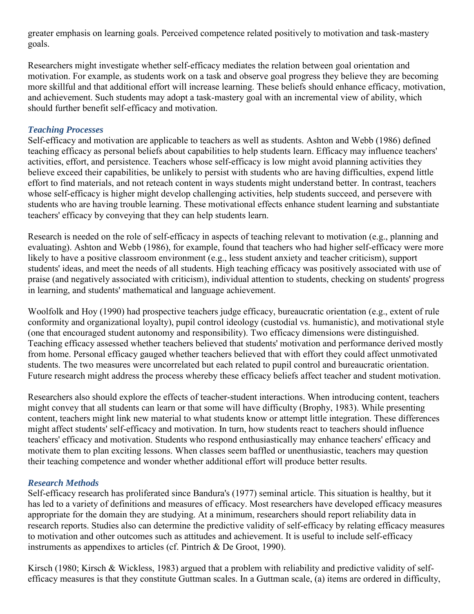greater emphasis on learning goals. Perceived competence related positively to motivation and task-mastery goals.

Researchers might investigate whether self-efficacy mediates the relation between goal orientation and motivation. For example, as students work on a task and observe goal progress they believe they are becoming more skillful and that additional effort will increase learning. These beliefs should enhance efficacy, motivation, and achievement. Such students may adopt a task-mastery goal with an incremental view of ability, which should further benefit self-efficacy and motivation.

### *Teaching Processes*

Self-efficacy and motivation are applicable to teachers as well as students. Ashton and Webb (1986) defined teaching efficacy as personal beliefs about capabilities to help students learn. Efficacy may influence teachers' activities, effort, and persistence. Teachers whose self-efficacy is low might avoid planning activities they believe exceed their capabilities, be unlikely to persist with students who are having difficulties, expend little effort to find materials, and not reteach content in ways students might understand better. In contrast, teachers whose self-efficacy is higher might develop challenging activities, help students succeed, and persevere with students who are having trouble learning. These motivational effects enhance student learning and substantiate teachers' efficacy by conveying that they can help students learn.

Research is needed on the role of self-efficacy in aspects of teaching relevant to motivation (e.g., planning and evaluating). Ashton and Webb (1986), for example, found that teachers who had higher self-efficacy were more likely to have a positive classroom environment (e.g., less student anxiety and teacher criticism), support students' ideas, and meet the needs of all students. High teaching efficacy was positively associated with use of praise (and negatively associated with criticism), individual attention to students, checking on students' progress in learning, and students' mathematical and language achievement.

Woolfolk and Hoy (1990) had prospective teachers judge efficacy, bureaucratic orientation (e.g., extent of rule conformity and organizational loyalty), pupil control ideology (custodial vs. humanistic), and motivational style (one that encouraged student autonomy and responsibility). Two efficacy dimensions were distinguished. Teaching efficacy assessed whether teachers believed that students' motivation and performance derived mostly from home. Personal efficacy gauged whether teachers believed that with effort they could affect unmotivated students. The two measures were uncorrelated but each related to pupil control and bureaucratic orientation. Future research might address the process whereby these efficacy beliefs affect teacher and student motivation.

Researchers also should explore the effects of teacher-student interactions. When introducing content, teachers might convey that all students can learn or that some will have difficulty (Brophy, 1983). While presenting content, teachers might link new material to what students know or attempt little integration. These differences might affect students' self-efficacy and motivation. In turn, how students react to teachers should influence teachers' efficacy and motivation. Students who respond enthusiastically may enhance teachers' efficacy and motivate them to plan exciting lessons. When classes seem baffled or unenthusiastic, teachers may question their teaching competence and wonder whether additional effort will produce better results.

# *Research Methods*

Self-efficacy research has proliferated since Bandura's (1977) seminal article. This situation is healthy, but it has led to a variety of definitions and measures of efficacy. Most researchers have developed efficacy measures appropriate for the domain they are studying. At a minimum, researchers should report reliability data in research reports. Studies also can determine the predictive validity of self-efficacy by relating efficacy measures to motivation and other outcomes such as attitudes and achievement. It is useful to include self-efficacy instruments as appendixes to articles (cf. Pintrich & De Groot, 1990).

Kirsch (1980; Kirsch & Wickless, 1983) argued that a problem with reliability and predictive validity of selfefficacy measures is that they constitute Guttman scales. In a Guttman scale, (a) items are ordered in difficulty,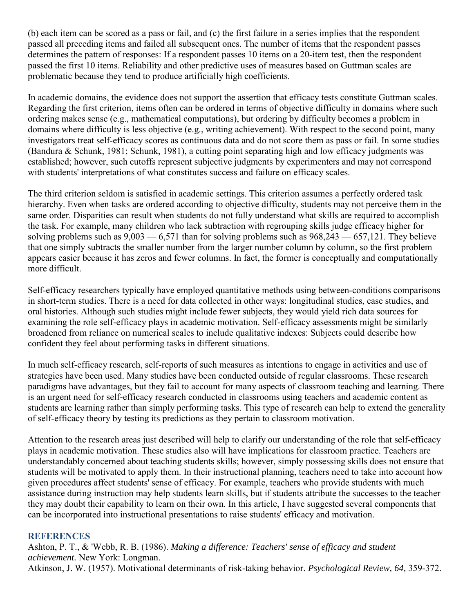(b) each item can be scored as a pass or fail, and (c) the first failure in a series implies that the respondent passed all preceding items and failed all subsequent ones. The number of items that the respondent passes determines the pattern of responses: If a respondent passes 10 items on a 20-item test, then the respondent passed the first 10 items. Reliability and other predictive uses of measures based on Guttman scales are problematic because they tend to produce artificially high coefficients.

In academic domains, the evidence does not support the assertion that efficacy tests constitute Guttman scales. Regarding the first criterion, items often can be ordered in terms of objective difficulty in domains where such ordering makes sense (e.g., mathematical computations), but ordering by difficulty becomes a problem in domains where difficulty is less objective (e.g., writing achievement). With respect to the second point, many investigators treat self-efficacy scores as continuous data and do not score them as pass or fail. In some studies (Bandura & Schunk, 1981; Schunk, 1981), a cutting point separating high and low efficacy judgments was established; however, such cutoffs represent subjective judgments by experimenters and may not correspond with students' interpretations of what constitutes success and failure on efficacy scales.

The third criterion seldom is satisfied in academic settings. This criterion assumes a perfectly ordered task hierarchy. Even when tasks are ordered according to objective difficulty, students may not perceive them in the same order. Disparities can result when students do not fully understand what skills are required to accomplish the task. For example, many children who lack subtraction with regrouping skills judge efficacy higher for solving problems such as  $9,003 - 6,571$  than for solving problems such as  $968,243 - 657,121$ . They believe that one simply subtracts the smaller number from the larger number column by column, so the first problem appears easier because it has zeros and fewer columns. In fact, the former is conceptually and computationally more difficult.

Self-efficacy researchers typically have employed quantitative methods using between-conditions comparisons in short-term studies. There is a need for data collected in other ways: longitudinal studies, case studies, and oral histories. Although such studies might include fewer subjects, they would yield rich data sources for examining the role self-efficacy plays in academic motivation. Self-efficacy assessments might be similarly broadened from reliance on numerical scales to include qualitative indexes: Subjects could describe how confident they feel about performing tasks in different situations.

In much self-efficacy research, self-reports of such measures as intentions to engage in activities and use of strategies have been used. Many studies have been conducted outside of regular classrooms. These research paradigms have advantages, but they fail to account for many aspects of classroom teaching and learning. There is an urgent need for self-efficacy research conducted in classrooms using teachers and academic content as students are learning rather than simply performing tasks. This type of research can help to extend the generality of self-efficacy theory by testing its predictions as they pertain to classroom motivation.

Attention to the research areas just described will help to clarify our understanding of the role that self-efficacy plays in academic motivation. These studies also will have implications for classroom practice. Teachers are understandably concerned about teaching students skills; however, simply possessing skills does not ensure that students will be motivated to apply them. In their instructional planning, teachers need to take into account how given procedures affect students' sense of efficacy. For example, teachers who provide students with much assistance during instruction may help students learn skills, but if students attribute the successes to the teacher they may doubt their capability to learn on their own. In this article, I have suggested several components that can be incorporated into instructional presentations to raise students' efficacy and motivation.

#### **REFERENCES**

Ashton, P. T., & 'Webb, R. B. (1986). *Making a difference: Teachers' sense of efficacy and student achievement.* New York: Longman. Atkinson, J. W. (1957). Motivational determinants of risk-taking behavior. *Psychological Review, 64,* 359-372.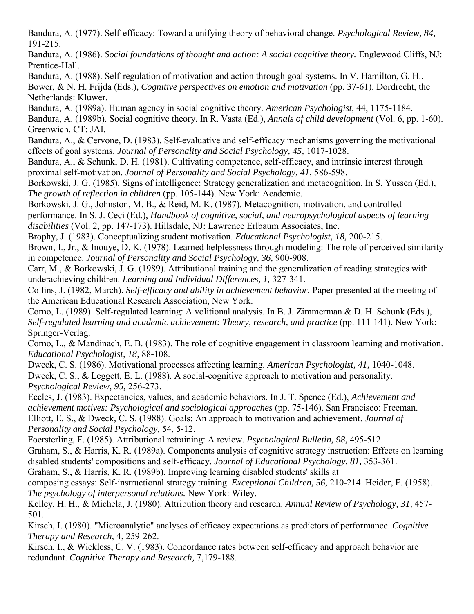Bandura, A. (1977). Self-efficacy: Toward a unifying theory of behavioral change. *Psychological Review, 84,*  191-215.

Bandura, A. (1986). *Social foundations of thought and action: A social cognitive theory.* Englewood Cliffs, NJ: Prentice-Hall.

Bandura, A. (1988). Self-regulation of motivation and action through goal systems. In V. Hamilton, G. H.. Bower, & N. H. Frijda (Eds.), *Cognitive perspectives on emotion and motivation* (pp. 37-61). Dordrecht, the Netherlands: Kluwer.

Bandura, A. (1989a). Human agency in social cognitive theory. *American Psychologist,* 44, 1175-1184. Bandura, A. (1989b). Social cognitive theory. In R. Vasta (Ed.), *Annals of child development* (Vol. 6, pp. 1-60). Greenwich, CT: JAI.

Bandura, A., & Cervone, D. (1983). Self-evaluative and self-efficacy mechanisms governing the motivational effects of goal systems. *Journal of Personality and Social Psychology, 45,* 1017-1028.

Bandura, A., & Schunk, D. H. (1981). Cultivating competence, self-efficacy, and intrinsic interest through proximal self-motivation. *Journal of Personality and Social Psychology, 41,* 586-598.

Borkowski, J. G. (1985). Signs of intelligence: Strategy generalization and metacognition. In S. Yussen (Ed.), *The growth of reflection in children* (pp. 105-144). New York: Academic.

Borkowski, J. G., Johnston, M. B., & Reid, M. K. (1987). Metacognition, motivation, and controlled performance. In S. J. Ceci (Ed.), *Handbook of cognitive, social, and neuropsychological aspects of learning disabilities* (Vol. 2, pp. 147-173). Hillsdale, NJ: Lawrence Erlbaum Associates, Inc.

Brophy, J. (1983). Conceptualizing student motivation. *Educational Psychologist, 18,* 200-215.

Brown, I., Jr., & Inouye, D. K. (1978). Learned helplessness through modeling: The role of perceived similarity in competence. *Journal of Personality and Social Psychology, 36,* 900-908.

Carr, M., & Borkowski, J. G. (1989). Attributional training and the generalization of reading strategies with underachieving children. *Learning and Individual Differences, 1,* 327-341.

Collins, J. (1982, March). *Self-efficacy and ability in achievement behavior.* Paper presented at the meeting of the American Educational Research Association, New York.

Corno, L. (1989). Self-regulated learning: A volitional analysis. In B. J. Zimmerman & D. H. Schunk (Eds.), *Self-regulated learning and academic achievement: Theory, research, and practice (pp. 111-141). New York:* Springer-Verlag.

Corno, L., & Mandinach, E. B. (1983). The role of cognitive engagement in classroom learning and motivation. *Educational Psychologist, 18,* 88-108.

Dweck, C. S. (1986). Motivational processes affecting learning. *American Psychologist, 41,* 1040-1048. Dweck, C. S., & Leggett, E. L. (1988). A social-cognitive approach to motivation and personality. *Psychological Review, 95,* 256-273.

Eccles, J. (1983). Expectancies, values, and academic behaviors. In J. T. Spence (Ed.), *Achievement and achievement motives: Psychological and sociological approaches* (pp. 75-146). San Francisco: Freeman. Elliott, E. S., & Dweck, C. S. (1988). Goals: An approach to motivation and achievement. *Journal of Personality and Social Psychology,* 54, 5-12.

Foersterling, F. (1985). Attributional retraining: A review. *Psychological Bulletin, 98,* 495-512. Graham, S., & Harris, K. R. (1989a). Components analysis of cognitive strategy instruction: Effects on learning disabled students' compositions and self-efficacy. *Journal of Educational Psychology, 81,* 353-361.

Graham, S., & Harris, K. R. (1989b). Improving learning disabled students' skills at

composing essays: Self-instructional strategy training. *Exceptional Children, 56,* 210-214. Heider, F. (1958). *The psychology of interpersonal relations.* New York: Wiley.

Kelley, H. H., & Michela, J. (1980). Attribution theory and research. *Annual Review of Psychology, 31,* 457- 501.

Kirsch, I. (1980). "Microanalytic" analyses of efficacy expectations as predictors of performance. *Cognitive Therapy and Research,* 4, 259-262.

Kirsch, I., & Wickless, C. V. (1983). Concordance rates between self-efficacy and approach behavior are redundant. *Cognitive Therapy and Research,* 7,179-188.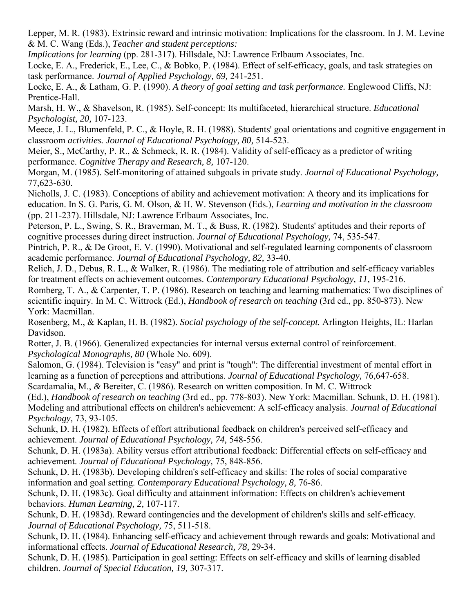Lepper, M. R. (1983). Extrinsic reward and intrinsic motivation: Implications for the classroom. In J. M. Levine & M. C. Wang (Eds.), *Teacher and student perceptions:* 

*Implications for learning* (pp. 281-317). Hillsdale, NJ: Lawrence Erlbaum Associates, Inc.

Locke, E. A., Frederick, E., Lee, C., & Bobko, P. (1984). Effect of self-efficacy, goals, and task strategies on task performance. *Journal of Applied Psychology, 69,* 241-251.

Locke, E. A., & Latham, G. P. (1990). *A theory of goal setting and task performance.* Englewood Cliffs, NJ: Prentice-Hall.

Marsh, H. W., & Shavelson, R. (1985). Self-concept: Its multifaceted, hierarchical structure. *Educational Psychologist, 20,* 107-123.

Meece, J. L., Blumenfeld, P. C., & Hoyle, R. H. (1988). Students' goal orientations and cognitive engagement in classroom *activities. Journal of Educational Psychology, 80,* 514-523.

Meier, S., McCarthy, P. R., & Schmeck, R. R. (1984). Validity of self-efficacy as a predictor of writing performance. *Cognitive Therapy and Research, 8,* 107-120.

Morgan, M. (1985). Self-monitoring of attained subgoals in private study. *Journal of Educational Psychology,*  77,623-630.

Nicholls, J. C. (1983). Conceptions of ability and achievement motivation: A theory and its implications for education. In S. G. Paris, G. M. Olson, & H. W. Stevenson (Eds.), *Learning and motivation in the classroom*  (pp. 211-237). Hillsdale, NJ: Lawrence Erlbaum Associates, Inc.

Peterson, P. L., Swing, S. R., Braverman, M. T., & Buss, R. (1982). Students' aptitudes and their reports of cognitive processes during direct instruction. *Journal of Educational Psychology,* 74, 535-547.

Pintrich, P. R., & De Groot, E. V. (1990). Motivational and self-regulated learning components of classroom academic performance. *Journal of Educational Psychology, 82,* 33-40.

Relich, J. D., Debus, R. L., & Walker, R. (1986). The mediating role of attribution and self-efficacy variables for treatment effects on achievement outcomes. *Contemporary Educational Psychology, 11,* 195-216.

Romberg, T. A., & Carpenter, T. P. (1986). Research on teaching and learning mathematics: Two disciplines of scientific inquiry. In M. C. Wittrock (Ed.), *Handbook of research on teaching* (3rd ed., pp. 850-873). New York: Macmillan.

Rosenberg, M., & Kaplan, H. B. (1982). *Social psychology of the self-concept.* Arlington Heights, IL: Harlan Davidson.

Rotter, J. B. (1966). Generalized expectancies for internal versus external control of reinforcement. *Psychological Monographs, 80* (Whole No. 609).

Salomon, G. (1984). Television is "easy" and print is "tough": The differential investment of mental effort in learning as a function of perceptions and attributions. *Journal of Educational Psychology,* 76,647-658.

Scardamalia, M., *&* Bereiter, C. (1986). Research on written composition. In M. C. Wittrock

(Ed.), *Handbook of research on teaching* (3rd ed., pp. 778-803). New York: Macmillan. Schunk, D. H. (1981). Modeling and attributional effects on children's achievement: A self-efficacy analysis. *Journal of Educational Psychology,* 73, 93-105.

Schunk, D. H. (1982). Effects of effort attributional feedback on children's perceived self-efficacy and achievement. *Journal of Educational Psychology, 74,* 548-556.

Schunk, D. H. (1983a). Ability versus effort attributional feedback: Differential effects on self-efficacy and achievement. *Journal of Educational Psychology,* 75, 848-856.

Schunk, D. H. (1983b). Developing children's self-efficacy and skills: The roles of social comparative information and goal setting. *Contemporary Educational Psychology, 8,* 76-86.

Schunk, D. H. (1983c). Goal difficulty and attainment information: Effects on children's achievement behaviors. *Human Learning, 2,* 107-117.

Schunk, D. H. (1983d). Reward contingencies and the development of children's skills and self-efficacy. *Journal of Educational Psychology,* 75, 511-518.

Schunk, D. H. (1984). Enhancing self-efficacy and achievement through rewards and goals: Motivational and informational effects. *Journal of Educational Research, 78,* 29-34.

Schunk, D. H. (1985). Participation in goal setting: Effects on self-efficacy and skills of learning disabled children. *Journal of Special Education, 19,* 307-317.